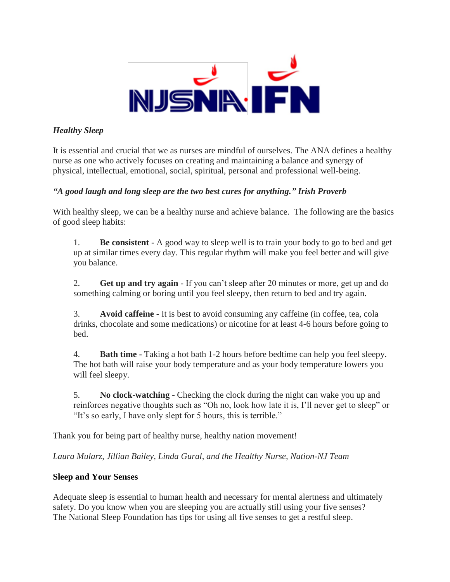

# *Healthy Sleep*

It is essential and crucial that we as nurses are mindful of ourselves. The ANA defines a healthy nurse as one who actively focuses on creating and maintaining a balance and synergy of physical, intellectual, emotional, social, spiritual, personal and professional well-being.

# *"A good laugh and long sleep are the two best cures for anything." Irish Proverb*

With healthy sleep, we can be a healthy nurse and achieve balance. The following are the basics of good sleep habits:

1. **Be consistent** - A good way to sleep well is to train your body to go to bed and get up at similar times every day. This regular rhythm will make you feel better and will give you balance.

2. **Get up and try again** - If you can't sleep after 20 minutes or more, get up and do something calming or boring until you feel sleepy, then return to bed and try again.

3. **Avoid caffeine -** It is best to avoid consuming any caffeine (in coffee, tea, cola drinks, chocolate and some medications) or nicotine for at least 4-6 hours before going to bed.

4. **Bath time -** Taking a hot bath 1-2 hours before bedtime can help you feel sleepy. The hot bath will raise your body temperature and as your body temperature lowers you will feel sleepy.

5. **No clock-watching** - Checking the clock during the night can wake you up and reinforces negative thoughts such as "Oh no, look how late it is, I'll never get to sleep" or "It's so early, I have only slept for 5 hours, this is terrible."

Thank you for being part of healthy nurse, healthy nation movement!

*Laura Mularz, Jillian Bailey, Linda Gural, and the Healthy Nurse, Nation-NJ Team*

### **Sleep and Your Senses**

Adequate sleep is essential to human health and necessary for mental alertness and ultimately safety. Do you know when you are sleeping you are actually still using your five senses? The National Sleep Foundation has tips for using all five senses to get a restful sleep.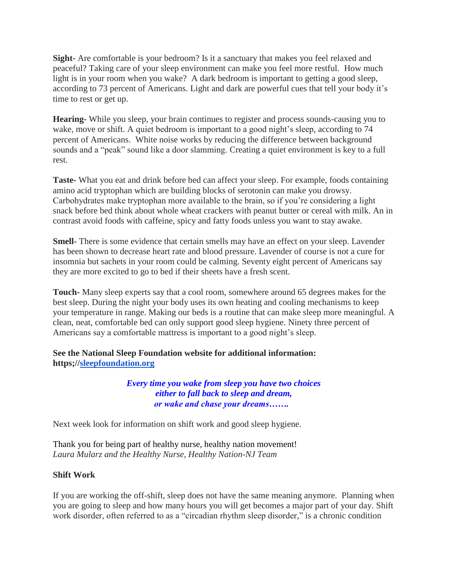**Sight-** Are comfortable is your bedroom? Is it a sanctuary that makes you feel relaxed and peaceful? Taking care of your sleep environment can make you feel more restful. How much light is in your room when you wake? A dark bedroom is important to getting a good sleep, according to 73 percent of Americans. Light and dark are powerful cues that tell your body it's time to rest or get up.

**Hearing-** While you sleep, your brain continues to register and process sounds-causing you to wake, move or shift. A quiet bedroom is important to a good night's sleep, according to 74 percent of Americans. White noise works by reducing the difference between background sounds and a "peak" sound like a door slamming. Creating a quiet environment is key to a full rest.

**Taste-** What you eat and drink before bed can affect your sleep. For example, foods containing amino acid tryptophan which are building blocks of serotonin can make you drowsy. Carbohydrates make tryptophan more available to the brain, so if you're considering a light snack before bed think about whole wheat crackers with peanut butter or cereal with milk. An in contrast avoid foods with caffeine, spicy and fatty foods unless you want to stay awake.

**Smell-** There is some evidence that certain smells may have an effect on your sleep. Lavender has been shown to decrease heart rate and blood pressure. Lavender of course is not a cure for insomnia but sachets in your room could be calming. Seventy eight percent of Americans say they are more excited to go to bed if their sheets have a fresh scent.

**Touch-** Many sleep experts say that a cool room, somewhere around 65 degrees makes for the best sleep. During the night your body uses its own heating and cooling mechanisms to keep your temperature in range. Making our beds is a routine that can make sleep more meaningful. A clean, neat, comfortable bed can only support good sleep hygiene. Ninety three percent of Americans say a comfortable mattress is important to a good night's sleep.

# **See the National Sleep Foundation website for additional information: https;/[/sleepfoundation.org](http://sleepfoundation.org/)**

*Every time you wake from sleep you have two choices either to fall back to sleep and dream, or wake and chase your dreams…….* 

Next week look for information on shift work and good sleep hygiene.

Thank you for being part of healthy nurse, healthy nation movement! *Laura Mularz and the Healthy Nurse, Healthy Nation-NJ Team*

### **Shift Work**

If you are working the off-shift, sleep does not have the same meaning anymore. Planning when you are going to sleep and how many hours you will get becomes a major part of your day. Shift work disorder, often referred to as a "circadian rhythm sleep disorder," is a chronic condition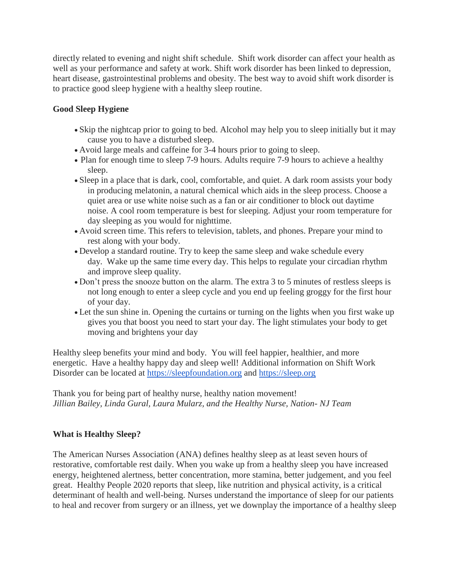directly related to evening and night shift schedule. Shift work disorder can affect your health as well as your performance and safety at work. Shift work disorder has been linked to depression, heart disease, gastrointestinal problems and obesity. The best way to avoid shift work disorder is to practice good sleep hygiene with a healthy sleep routine.

# **Good Sleep Hygiene**

- Skip the nightcap prior to going to bed. Alcohol may help you to sleep initially but it may cause you to have a disturbed sleep.
- Avoid large meals and caffeine for 3-4 hours prior to going to sleep.
- Plan for enough time to sleep 7-9 hours. Adults require 7-9 hours to achieve a healthy sleep.
- Sleep in a place that is dark, cool, comfortable, and quiet. A dark room assists your body in producing melatonin, a natural chemical which aids in the sleep process. Choose a quiet area or use white noise such as a fan or air conditioner to block out daytime noise. A cool room temperature is best for sleeping. Adjust your room temperature for day sleeping as you would for nighttime.
- Avoid screen time. This refers to television, tablets, and phones. Prepare your mind to rest along with your body.
- Develop a standard routine. Try to keep the same sleep and wake schedule every day. Wake up the same time every day. This helps to regulate your circadian rhythm and improve sleep quality.
- Don't press the snooze button on the alarm. The extra 3 to 5 minutes of restless sleeps is not long enough to enter a sleep cycle and you end up feeling groggy for the first hour of your day.
- Let the sun shine in. Opening the curtains or turning on the lights when you first wake up gives you that boost you need to start your day. The light stimulates your body to get moving and brightens your day

Healthy sleep benefits your mind and body. You will feel happier, healthier, and more energetic. Have a healthy happy day and sleep well! Additional information on Shift Work Disorder can be located at [https://sleepfoundation.org](https://sleepfoundation.org/) and [https://sleep.org](https://sleep.org/)

Thank you for being part of healthy nurse, healthy nation movement! *Jillian Bailey, Linda Gural, Laura Mularz, and the Healthy Nurse, Nation- NJ Team*

### **What is Healthy Sleep?**

The American Nurses Association (ANA) defines healthy sleep as at least seven hours of restorative, comfortable rest daily. When you wake up from a healthy sleep you have increased energy, heightened alertness, better concentration, more stamina, better judgement, and you feel great. Healthy People 2020 reports that sleep, like nutrition and physical activity, is a critical determinant of health and well-being. Nurses understand the importance of sleep for our patients to heal and recover from surgery or an illness, yet we downplay the importance of a healthy sleep